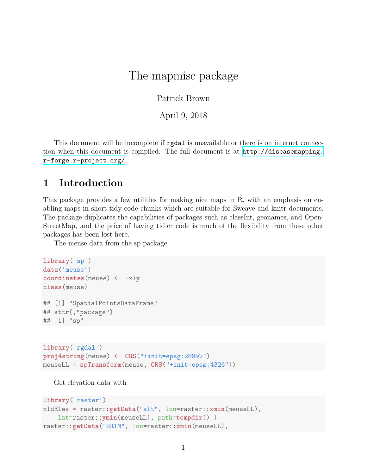# The mapmisc package

Patrick Brown

April 9, 2018

This document will be incomplete if **rgdal** is unavailable or there is on internet connection when this document is compiled. The full document is at [http://diseasemapping.](http://diseasemapping.r-forge.r-project.org/) [r-forge.r-project.org/](http://diseasemapping.r-forge.r-project.org/).

#### **1 Introduction**

This package provides a few utilities for making nice maps in R, with an emphasis on enabling maps in short tidy code chunks which are suitable for Sweave and knitr documents. The package duplicates the capabilities of packages such as classInt, geonames, and Open-StreetMap, and the price of having tidier code is much of the flexibility from these other packages has been lost here.

The meuse data from the sp package

```
library('sp')
data('meuse')
coordinates(meuse) <- ~x+y
class(meuse)
## [1] "SpatialPointsDataFrame"
## attr(,"package")
## [1] "sp"
```

```
library('rgdal')
proj4string(meuse) <- CRS("+init=epsg:28992")
meuseLL = spTransform(meuse, CRS("+init=epsg:4326"))
```
Get elevation data with

```
library('raster')
nldElev = raster::getData("alt", lon=raster::xmin(meuseLL),
    lat=raster::ymin(meuseLL), path=tempdir() )
raster::getData("SRTM", lon=raster::xmin(meuseLL),
```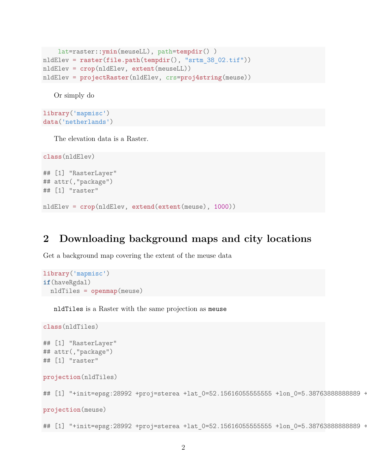```
lat=raster::ymin(meuseLL), path=tempdir() )
nldElev = raster(file.path(tempdir(), "srtm_38_02.tif"))
nldElev = crop(nldElev, extent(meuseLL))
nldElev = projectRaster(nldElev, crs=proj4string(meuse))
```
Or simply do

```
library('mapmisc')
data('netherlands')
```
The elevation data is a Raster.

```
class(nldElev)
## [1] "RasterLayer"
## attr(,"package")
## [1] "raster"
nldElev = crop(nldElev, extend(extent(meuse), 1000))
```
#### **2 Downloading background maps and city locations**

Get a background map covering the extent of the meuse data

```
library('mapmisc')
if(haveRgdal)
  nldTiles = openmap(meuse)
```
nldTiles is a Raster with the same projection as meuse

```
class(nldTiles)
## [1] "RasterLayer"
## attr(,"package")
## [1] "raster"
projection(nldTiles)
## [1] "+init=epsg:28992 +proj=sterea +lat 0=52.156160555555555 +lon 0=5.38763888888889 +
projection(meuse)
```
## [1] "+init=epsg:28992 +proj=sterea +lat 0=52.15616055555555 +lon 0=5.38763888888889 +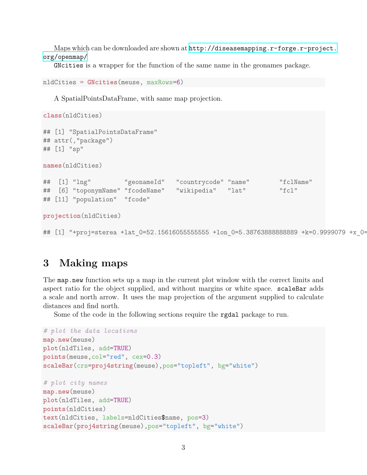Maps which can be downloaded are shown at  $http://diseasemapping.r-forge.r-project.$ [org/openmap/](http://diseasemapping.r-forge.r-project.org/openmap/)

GNcities is a wrapper for the function of the same name in the geonames package.

```
nldCities = GNcities(meuse, maxRows=6)
```
A SpatialPointsDataFrame, with same map projection.

```
class(nldCities)
## [1] "SpatialPointsDataFrame"
## attr(,"package")
## [1] "sp"
names(nldCities)
## [1] "lng" "geonameId" "countrycode" "name" "fclName"
## [6] "toponymName" "fcodeName" "wikipedia" "lat" "fcl"
## [11] "population" "fcode"
projection(nldCities)
```
#### ## [1] "+proj=sterea +lat 0=52.15616055555555 +lon 0=5.38763888888889 +k=0.9999079 +x 0=

## **3 Making maps**

The map.new function sets up a map in the current plot window with the correct limits and aspect ratio for the object supplied, and without margins or white space. scaleBar adds a scale and north arrow. It uses the map projection of the argument supplied to calculate distances and find north.

Some of the code in the following sections require the rgdal package to run.

```
# plot the data locations
map.new(meuse)
plot(nldTiles, add=TRUE)
points(meuse,col="red", cex=0.3)
scaleBar(crs=proj4string(meuse),pos="topleft", bg="white")
# plot city names
map.new(meuse)
plot(nldTiles, add=TRUE)
points(nldCities)
text(nldCities, labels=nldCities$name, pos=3)
scaleBar(proj4string(meuse),pos="topleft", bg="white")
```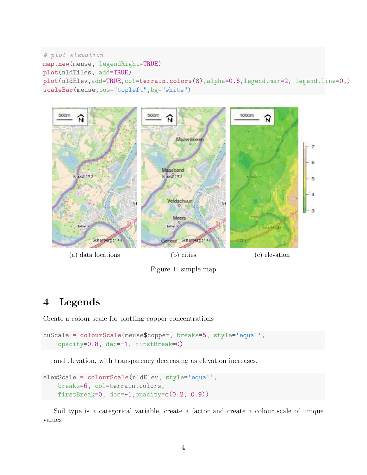```
# plot elevation
map.new(meuse, legendRight=TRUE)
plot(nldTiles, add=TRUE)
plot(nldElev,add=TRUE,col=terrain.colors(8),alpha=0.6,legend.mar=2, legend.line=0,)
scaleBar(meuse,pos="topleft",bg="white")
```


- (a) data locations (b) cities (c) elevation
- 

Figure 1: simple map

# **4 Legends**

Create a colour scale for plotting copper concentrations

```
cuScale = colourScale(meuse$copper, breaks=5, style='equal',
    opacity=0.8, dec=-1, firstBreak=0)
```
and elevation, with transparency decreasing as elevation increases.

```
elevScale = colourScale(nldElev, style='equal',
    breaks=6, col=terrain.colors,
    firstBreak=0, dec=-1,opacity=c(0.2, 0.9))
```
Soil type is a categorical variable, create a factor and create a colour scale of unique values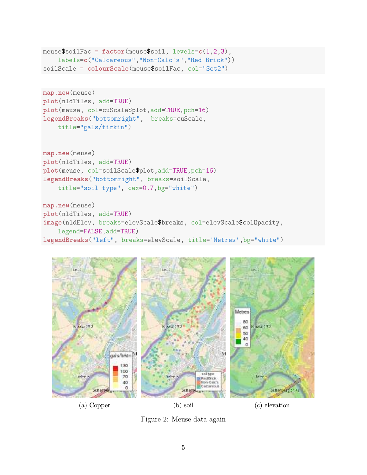```
meuse$soilFac = factor(meuse$soil, levels=c(1,2,3),
    labels=c("Calcareous","Non-Calc's","Red Brick"))
soilScale = colourScale(meuse$soilFac, col="Set2")
```

```
map.new(meuse)
plot(nldTiles, add=TRUE)
plot(meuse, col=cuScale$plot,add=TRUE,pch=16)
legendBreaks("bottomright", breaks=cuScale,
    title="gals/firkin")
```

```
map.new(meuse)
plot(nldTiles, add=TRUE)
plot(meuse, col=soilScale$plot,add=TRUE,pch=16)
legendBreaks("bottomright", breaks=soilScale,
    title="soil type", cex=0.7,bg="white")
```

```
map.new(meuse)
plot(nldTiles, add=TRUE)
image(nldElev, breaks=elevScale$breaks, col=elevScale$colOpacity,
    legend=FALSE,add=TRUE)
legendBreaks("left", breaks=elevScale, title='Metres',bg="white")
```


Figure 2: Meuse data again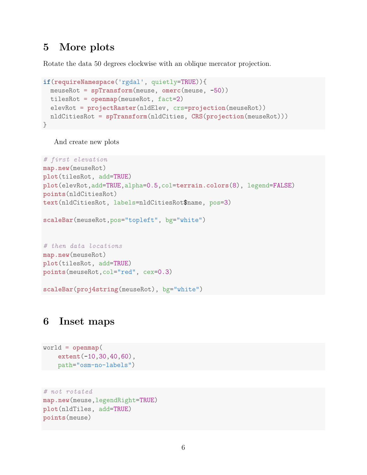### **5 More plots**

Rotate the data 50 degrees clockwise with an oblique mercator projection.

```
if(requireNamespace('rgdal', quietly=TRUE)){
 meuseRot = spTransform(meuse, omerc(meuse, -50))
 tilesRot = openmap(meuseRot, fact=2)
 elevRot = projectRaster(nldElev, crs=projection(meuseRot))
 nldCitiesRot = spTransform(nldCities, CRS(projection(meuseRot)))
}
```
And create new plots

```
# first elevation
map.new(meuseRot)
plot(tilesRot, add=TRUE)
plot(elevRot,add=TRUE,alpha=0.5,col=terrain.colors(8), legend=FALSE)
points(nldCitiesRot)
text(nldCitiesRot, labels=nldCitiesRot$name, pos=3)
```

```
scaleBar(meuseRot,pos="topleft", bg="white")
```

```
# then data locations
map.new(meuseRot)
plot(tilesRot, add=TRUE)
points(meuseRot,col="red", cex=0.3)
```

```
scaleBar(proj4string(meuseRot), bg="white")
```
## **6 Inset maps**

```
world = openmap(
    extent(-10,30,40,60),
    path="osm-no-labels")
```

```
# not rotated
map.new(meuse,legendRight=TRUE)
plot(nldTiles, add=TRUE)
points(meuse)
```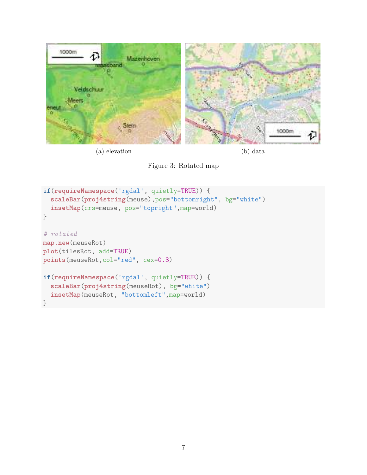

(a) elevation (b) data

Figure 3: Rotated map

```
if(requireNamespace('rgdal', quietly=TRUE)) {
 scaleBar(proj4string(meuse),pos="bottomright", bg="white")
  insetMap(crs=meuse, pos="topright",map=world)
}
# rotated
map.new(meuseRot)
plot(tilesRot, add=TRUE)
points(meuseRot,col="red", cex=0.3)
if(requireNamespace('rgdal', quietly=TRUE)) {
 scaleBar(proj4string(meuseRot), bg="white")
 insetMap(meuseRot, "bottomleft",map=world)
}
```